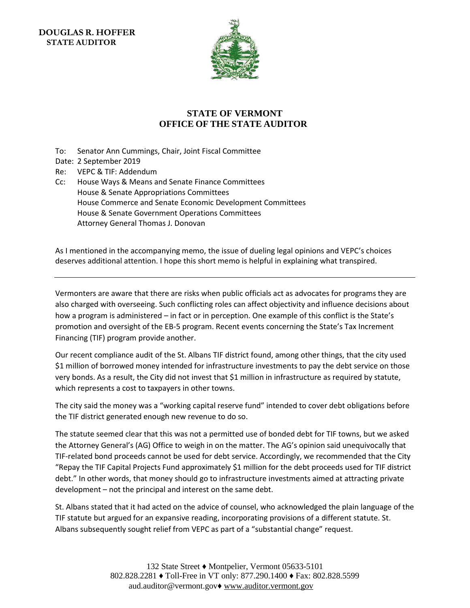**DOUGLAS R. HOFFER STATE AUDITOR** 



## **STATE OF VERMONT OFFICE OF THE STATE AUDITOR**

- To: Senator Ann Cummings, Chair, Joint Fiscal Committee
- Date: 2 September 2019
- Re: VEPC & TIF: Addendum
- Cc: House Ways & Means and Senate Finance Committees House & Senate Appropriations Committees House Commerce and Senate Economic Development Committees House & Senate Government Operations Committees Attorney General Thomas J. Donovan

As I mentioned in the accompanying memo, the issue of dueling legal opinions and VEPC's choices deserves additional attention. I hope this short memo is helpful in explaining what transpired.

Vermonters are aware that there are risks when public officials act as advocates for programs they are also charged with overseeing. Such conflicting roles can affect objectivity and influence decisions about how a program is administered – in fact or in perception. One example of this conflict is the State's promotion and oversight of the EB-5 program. Recent events concerning the State's Tax Increment Financing (TIF) program provide another.

Our recent compliance audit of the St. Albans TIF district found, among other things, that the city used \$1 million of borrowed money intended for infrastructure investments to pay the debt service on those very bonds. As a result, the City did not invest that \$1 million in infrastructure as required by statute, which represents a cost to taxpayers in other towns.

The city said the money was a "working capital reserve fund" intended to cover debt obligations before the TIF district generated enough new revenue to do so.

The statute seemed clear that this was not a permitted use of bonded debt for TIF towns, but we asked the Attorney General's (AG) Office to weigh in on the matter. The AG's opinion said unequivocally that TIF-related bond proceeds cannot be used for debt service. Accordingly, we recommended that the City "Repay the TIF Capital Projects Fund approximately \$1 million for the debt proceeds used for TIF district debt." In other words, that money should go to infrastructure investments aimed at attracting private development – not the principal and interest on the same debt.

St. Albans stated that it had acted on the advice of counsel, who acknowledged the plain language of the TIF statute but argued for an expansive reading, incorporating provisions of a different statute. St. Albans subsequently sought relief from VEPC as part of a "substantial change" request.

> 132 State Street ♦ Montpelier, Vermont 05633-5101 802.828.2281 ♦ Toll-Free in VT only: 877.290.1400 ♦ Fax: 802.828.5599 aud.auditor@vermont.gov♦ [www.auditor.vermont.gov](http://www.auditor.vermont.gov/)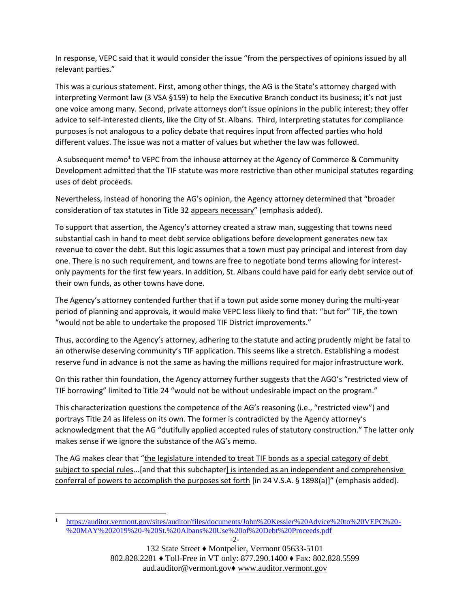In response, VEPC said that it would consider the issue "from the perspectives of opinions issued by all relevant parties."

This was a curious statement. First, among other things, the AG is the State's attorney charged with interpreting Vermont law (3 VSA §159) to help the Executive Branch conduct its business; it's not just one voice among many. Second, private attorneys don't issue opinions in the public interest; they offer advice to self-interested clients, like the City of St. Albans. Third, interpreting statutes for compliance purposes is not analogous to a policy debate that requires input from affected parties who hold different values. The issue was not a matter of values but whether the law was followed.

A subsequent memo<sup>1</sup> to VEPC from the inhouse attorney at the Agency of Commerce & Community Development admitted that the TIF statute was more restrictive than other municipal statutes regarding uses of debt proceeds.

Nevertheless, instead of honoring the AG's opinion, the Agency attorney determined that "broader consideration of tax statutes in Title 32 appears necessary" (emphasis added).

To support that assertion, the Agency's attorney created a straw man, suggesting that towns need substantial cash in hand to meet debt service obligations before development generates new tax revenue to cover the debt. But this logic assumes that a town must pay principal and interest from day one. There is no such requirement, and towns are free to negotiate bond terms allowing for interestonly payments for the first few years. In addition, St. Albans could have paid for early debt service out of their own funds, as other towns have done.

The Agency's attorney contended further that if a town put aside some money during the multi-year period of planning and approvals, it would make VEPC less likely to find that: "but for" TIF, the town "would not be able to undertake the proposed TIF District improvements."

Thus, according to the Agency's attorney, adhering to the statute and acting prudently might be fatal to an otherwise deserving community's TIF application. This seems like a stretch. Establishing a modest reserve fund in advance is not the same as having the millions required for major infrastructure work.

On this rather thin foundation, the Agency attorney further suggests that the AGO's "restricted view of TIF borrowing" limited to Title 24 "would not be without undesirable impact on the program."

This characterization questions the competence of the AG's reasoning (i.e., "restricted view") and portrays Title 24 as lifeless on its own. The former is contradicted by the Agency attorney's acknowledgment that the AG "dutifully applied accepted rules of statutory construction." The latter only makes sense if we ignore the substance of the AG's memo.

The AG makes clear that "the legislature intended to treat TIF bonds as a special category of debt subject to special rules...[and that this subchapter] is intended as an independent and comprehensive conferral of powers to accomplish the purposes set forth [in 24 V.S.A. § 1898(a)]" (emphasis added).

-

<sup>&</sup>lt;sup>1</sup> [https://auditor.vermont.gov/sites/auditor/files/documents/John%20Kessler%20Advice%20to%20VEPC%20-](https://auditor.vermont.gov/sites/auditor/files/documents/John%20Kessler%20Advice%20to%20VEPC%20-%20MAY%202019%20-%20St.%20Albans%20Use%20of%20Debt%20Proceeds.pdf) [%20MAY%202019%20-%20St.%20Albans%20Use%20of%20Debt%20Proceeds.pdf](https://auditor.vermont.gov/sites/auditor/files/documents/John%20Kessler%20Advice%20to%20VEPC%20-%20MAY%202019%20-%20St.%20Albans%20Use%20of%20Debt%20Proceeds.pdf)